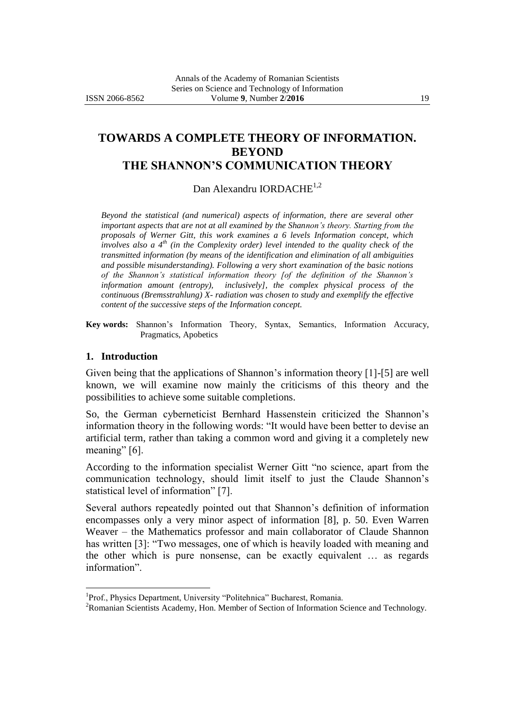# **TOWARDS A COMPLETE THEORY OF INFORMATION. BEYOND**

# **THE SHANNON'S COMMUNICATION THEORY**

## Dan Alexandru IORDACHE<sup>1,2</sup>

*Beyond the statistical (and numerical) aspects of information, there are several other important aspects that are not at all examined by the Shannon's theory. Starting from the proposals of Werner Gitt, this work examines a 6 levels Information concept, which involves also a 4th (in the Complexity order) level intended to the quality check of the transmitted information (by means of the identification and elimination of all ambiguities and possible misunderstanding). Following a very short examination of the basic notions of the Shannon's statistical information theory [of the definition of the Shannon's information amount (entropy), inclusively], the complex physical process of the continuous (Bremsstrahlung) X- radiation was chosen to study and exemplify the effective content of the successive steps of the Information concept.*

**Key words:** Shannon"s Information Theory, Syntax, Semantics, Information Accuracy, Pragmatics, Apobetics

#### **1. Introduction**

 $\overline{a}$ 

Given being that the applications of Shannon's information theory [1]-[5] are well known, we will examine now mainly the criticisms of this theory and the possibilities to achieve some suitable completions.

So, the German cyberneticist Bernhard Hassenstein criticized the Shannon"s information theory in the following words: "It would have been better to devise an artificial term, rather than taking a common word and giving it a completely new meaning" [6].

According to the information specialist Werner Gitt "no science, apart from the communication technology, should limit itself to just the Claude Shannon"s statistical level of information" [7].

Several authors repeatedly pointed out that Shannon"s definition of information encompasses only a very minor aspect of information [8], p. 50. Even Warren Weaver – the Mathematics professor and main collaborator of Claude Shannon has written [3]: "Two messages, one of which is heavily loaded with meaning and the other which is pure nonsense, can be exactly equivalent … as regards information".

<sup>&</sup>lt;sup>1</sup>Prof., Physics Department, University "Politehnica" Bucharest, Romania.

<sup>2</sup>Romanian Scientists Academy, Hon. Member of Section of Information Science and Technology.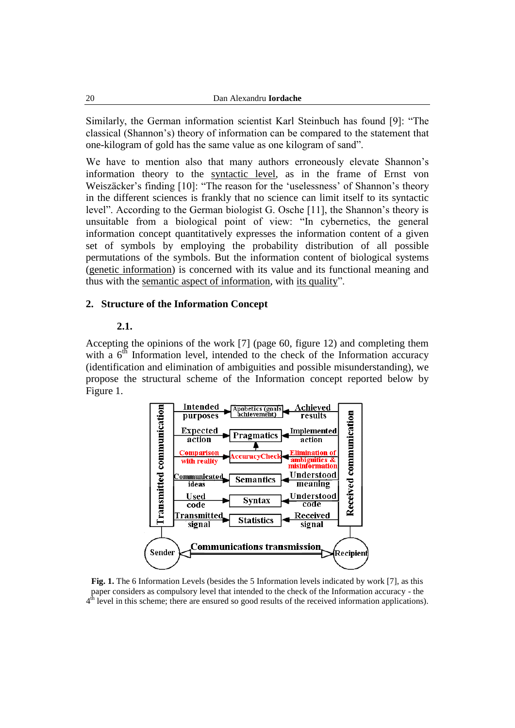Similarly, the German information scientist Karl Steinbuch has found [9]: "The classical (Shannon"s) theory of information can be compared to the statement that one-kilogram of gold has the same value as one kilogram of sand".

We have to mention also that many authors erroneously elevate Shannon's information theory to the syntactic level, as in the frame of Ernst von Weiszäcker's finding [10]: "The reason for the 'uselessness' of Shannon's theory in the different sciences is frankly that no science can limit itself to its syntactic level". According to the German biologist G. Osche [11], the Shannon's theory is unsuitable from a biological point of view: "In cybernetics, the general information concept quantitatively expresses the information content of a given set of symbols by employing the probability distribution of all possible permutations of the symbols. But the information content of biological systems (genetic information) is concerned with its value and its functional meaning and thus with the semantic aspect of information, with its quality".

#### **2. Structure of the Information Concept**

#### **2.1.**

Accepting the opinions of the work [7] (page 60, figure 12) and completing them with a 6<sup>th</sup> Information level, intended to the check of the Information accuracy (identification and elimination of ambiguities and possible misunderstanding), we propose the structural scheme of the Information concept reported below by Figure 1.



**Fig. 1.** The 6 Information Levels (besides the 5 Information levels indicated by work [7], as this paper considers as compulsory level that intended to the check of the Information accuracy - the  $4<sup>th</sup>$  level in this scheme; there are ensured so good results of the received information applications).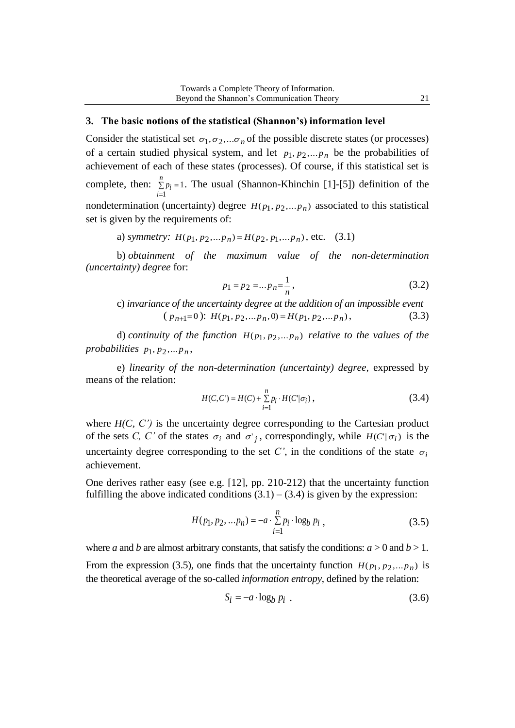#### **3. The basic notions of the statistical (Shannon's) information level**

Consider the statistical set  $\sigma_1, \sigma_2, ... \sigma_n$  of the possible discrete states (or processes) of a certain studied physical system, and let  $p_1, p_2,..., p_n$  be the probabilities of achievement of each of these states (processes). Of course, if this statistical set is complete, then:  $\sum p_i = 1$ 1  $=$ *n i*  $p_i = 1$ . The usual (Shannon-Khinchin [1]-[5]) definition of the nondetermination (uncertainty) degree  $H(p_1, p_2,..., p_n)$  associated to this statistical set is given by the requirements of:

a) *symmetry:*  $H(p_1, p_2,..., p_n) = H(p_2, p_1,..., p_n)$ , etc. (3.1)

b) *obtainment of the maximum value of the non-determination (uncertainty) degree* for:

$$
p_1 = p_2 = \dots p_n = \frac{1}{n},\tag{3.2}
$$

c) *invariance of the uncertainty degree at the addition of an impossible event*  $(p_{n+1}=0)$ :  $H(p_1, p_2,...,p_n, 0) = H(p_1, p_2,...,p_n)$  $(3.3)$ 

d) *continuity of the function*  $H(p_1, p_2,...,p_n)$  *relative to the values of the probabilities*  $p_1, p_2,...p_n$ ,

e) *linearity of the non-determination (uncertainty) degree,* expressed by means of the relation:

$$
H(C, C') = H(C) + \sum_{i=1}^{n} p_i \cdot H(C' | \sigma_i),
$$
\n(3.4)

where  $H(C, C')$  is the uncertainty degree corresponding to the Cartesian product of the sets *C*, *C*' of the states  $\sigma_i$  and  $\sigma'_{j}$ , correspondingly, while  $H(C|\sigma_i)$  is the uncertainty degree corresponding to the set  $C'$ , in the conditions of the state  $\sigma_i$ achievement.

One derives rather easy (see e.g. [12], pp. 210-212) that the uncertainty function fulfilling the above indicated conditions  $(3.1) - (3.4)$  is given by the expression:

$$
H(p_1, p_2, ... p_n) = -a \cdot \sum_{i=1}^{n} p_i \cdot \log_b p_i , \qquad (3.5)
$$

where *a* and *b* are almost arbitrary constants, that satisfy the conditions:  $a > 0$  and  $b > 1$ . From the expression (3.5), one finds that the uncertainty function  $H(p_1, p_2,..., p_n)$  is the theoretical average of the so-called *information entropy*, defined by the relation:

$$
S_i = -a \cdot \log_b p_i \tag{3.6}
$$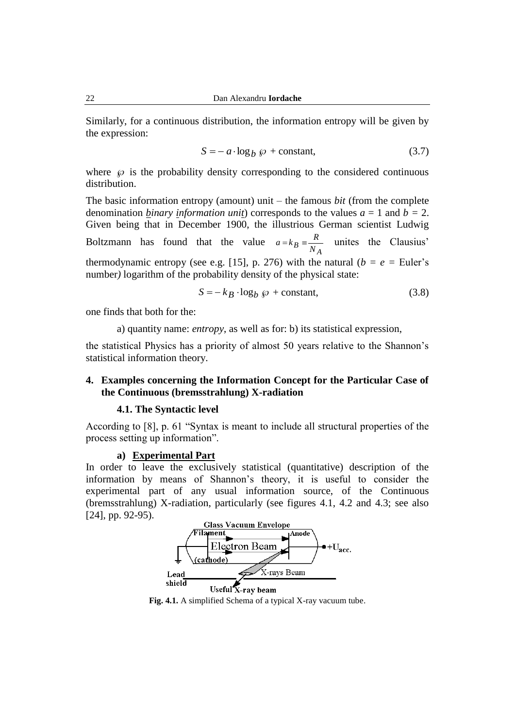Similarly, for a continuous distribution, the information entropy will be given by the expression:

$$
S = -a \cdot \log_b \wp + \text{constant},\tag{3.7}
$$

where  $\varphi$  is the probability density corresponding to the considered continuous distribution.

The basic information entropy (amount) unit – the famous *bit* (from the complete denomination *binary information unit*) corresponds to the values  $a = 1$  and  $b = 2$ . Given being that in December 1900, the illustrious German scientist Ludwig Boltzmann has found that the value  $B \equiv \frac{N}{N_A}$  $a = k_B = \frac{R}{V}$  unites the Clausius' thermodynamic entropy (see e.g. [15], p. 276) with the natural ( $b = e =$  Euler's number*)* logarithm of the probability density of the physical state:

$$
S = -k_B \cdot \log_b \wp + \text{constant},\tag{3.8}
$$

one finds that both for the:

a) quantity name: *entropy*, as well as for: b) its statistical expression,

the statistical Physics has a priority of almost 50 years relative to the Shannon"s statistical information theory.

#### **4. Examples concerning the Information Concept for the Particular Case of the Continuous (bremsstrahlung) X-radiation**

#### **4.1. The Syntactic level**

According to [8], p. 61 "Syntax is meant to include all structural properties of the process setting up information".

#### **a) Experimental Part**

In order to leave the exclusively statistical (quantitative) description of the information by means of Shannon"s theory, it is useful to consider the experimental part of any usual information source, of the Continuous (bremsstrahlung) X-radiation, particularly (see figures 4.1, 4.2 and 4.3; see also [24], pp. 92-95).



**Fig. 4.1.** A simplified Schema of a typical X-ray vacuum tube.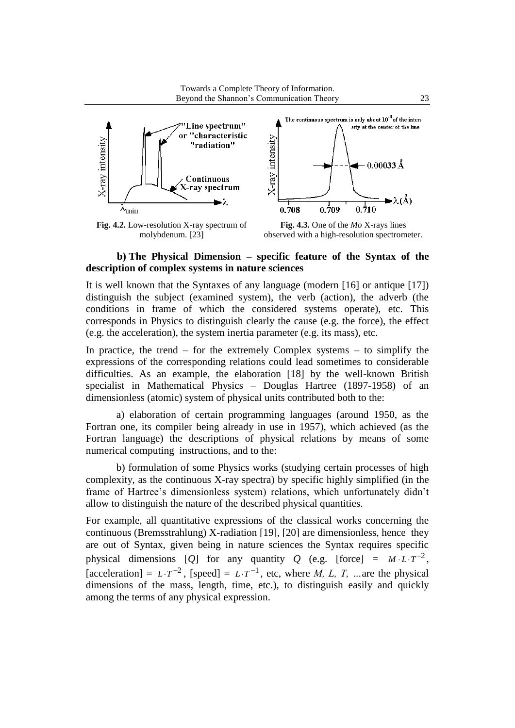

**Fig. 4.2.** Low-resolution X-ray spectrum of **Fig. 4.3.** One of the *Mo* X-rays lines

molybdenum. [23] observed with a high-resolution spectrometer.

## **b) The Physical Dimension – specific feature of the Syntax of the description of complex systems in nature sciences**

It is well known that the Syntaxes of any language (modern [16] or antique [17]) distinguish the subject (examined system), the verb (action), the adverb (the conditions in frame of which the considered systems operate), etc. This corresponds in Physics to distinguish clearly the cause (e.g. the force), the effect (e.g. the acceleration), the system inertia parameter (e.g. its mass), etc.

In practice, the trend – for the extremely Complex systems – to simplify the expressions of the corresponding relations could lead sometimes to considerable difficulties. As an example, the elaboration [18] by the well-known British specialist in Mathematical Physics – Douglas Hartree (1897-1958) of an dimensionless (atomic) system of physical units contributed both to the:

a) elaboration of certain programming languages (around 1950, as the Fortran one, its compiler being already in use in 1957), which achieved (as the Fortran language) the descriptions of physical relations by means of some numerical computing instructions, and to the:

b) formulation of some Physics works (studying certain processes of high complexity, as the continuous X-ray spectra) by specific highly simplified (in the frame of Hartree's dimensionless system) relations, which unfortunately didn't allow to distinguish the nature of the described physical quantities.

For example, all quantitative expressions of the classical works concerning the continuous (Bremsstrahlung) X-radiation [19], [20] are dimensionless, hence they are out of Syntax, given being in nature sciences the Syntax requires specific physical dimensions [Q] for any quantity Q (e.g. [force] =  $M \cdot L \cdot T^{-2}$ , [acceleration] =  $L \cdot T^{-2}$ , [speed] =  $L \cdot T^{-1}$ , etc, where *M*, *L*, *T*, ... are the physical dimensions of the mass, length, time, etc.), to distinguish easily and quickly among the terms of any physical expression.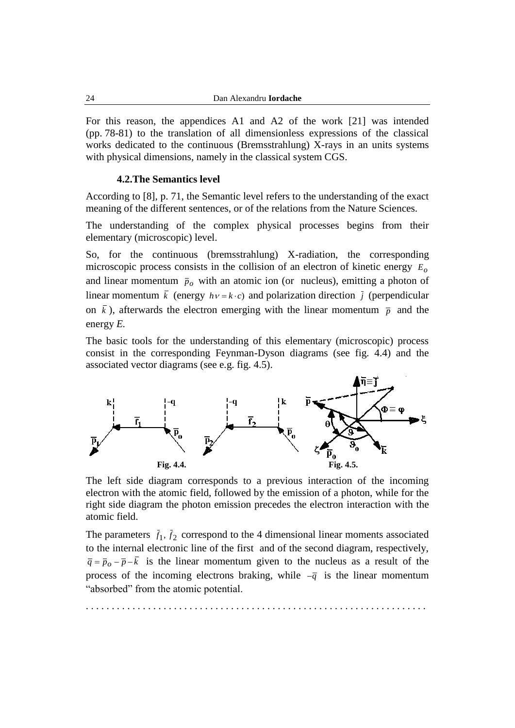For this reason, the appendices A1 and A2 of the work [21] was intended (pp. 78-81) to the translation of all dimensionless expressions of the classical works dedicated to the continuous (Bremsstrahlung) X-rays in an units systems with physical dimensions, namely in the classical system CGS.

#### **4.2.The Semantics level**

According to [8], p. 71, the Semantic level refers to the understanding of the exact meaning of the different sentences, or of the relations from the Nature Sciences.

The understanding of the complex physical processes begins from their elementary (microscopic) level.

So, for the continuous (bremsstrahlung) X-radiation, the corresponding microscopic process consists in the collision of an electron of kinetic energy *Eo* and linear momentum  $\bar{p}_o$  with an atomic ion (or nucleus), emitting a photon of linear momentum  $\bar{k}$  (energy  $h\nu = k \cdot c$ ) and polarization direction  $\bar{j}$  (perpendicular on  $\overline{k}$ ), afterwards the electron emerging with the linear momentum  $\overline{p}$  and the energy *E.*

The basic tools for the understanding of this elementary (microscopic) process consist in the corresponding Feynman-Dyson diagrams (see fig. 4.4) and the associated vector diagrams (see e.g. fig. 4.5).



The left side diagram corresponds to a previous interaction of the incoming electron with the atomic field, followed by the emission of a photon, while for the right side diagram the photon emission precedes the electron interaction with the atomic field.

The parameters  $\bar{f}_1$ ,  $\bar{f}_2$  correspond to the 4 dimensional linear moments associated to the internal electronic line of the first and of the second diagram, respectively,  $\overline{q} = \overline{p}_o - \overline{p} - \overline{k}$  is the linear momentum given to the nucleus as a result of the process of the incoming electrons braking, while  $-\bar{q}$  is the linear momentum "absorbed" from the atomic potential.

. . . . . . . . . . . . . . . . . . . . . . . . . . . . . . . . . . . . . . . . . . . . . . . . . . . . . . . . . . . . . . . . . .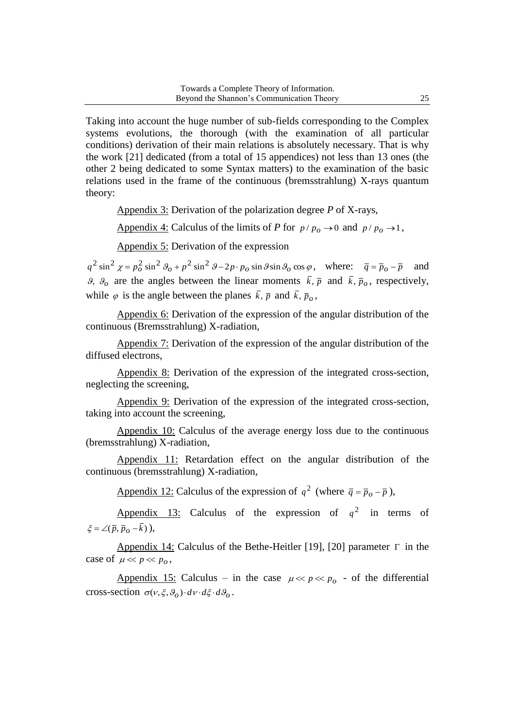Taking into account the huge number of sub-fields corresponding to the Complex systems evolutions, the thorough (with the examination of all particular conditions) derivation of their main relations is absolutely necessary. That is why the work [21] dedicated (from a total of 15 appendices) not less than 13 ones (the other 2 being dedicated to some Syntax matters) to the examination of the basic relations used in the frame of the continuous (bremsstrahlung) X-rays quantum theory:

Appendix 3: Derivation of the polarization degree *P* of X-rays,

Appendix 4: Calculus of the limits of *P* for  $p/p_0 \rightarrow 0$  and  $p/p_0 \rightarrow 1$ ,

Appendix 5: Derivation of the expression

 $q^2 \sin^2 \chi = p_o^2 \sin^2 \theta_o + p^2 \sin^2 \theta - 2p \cdot p_o \sin \theta \sin \theta_o \cos \varphi$ , where:  $\bar{q} = \bar{p}_o - \bar{p}$  and *9*,  $\theta_o$  are the angles between the linear moments  $\bar{k}$ ,  $\bar{p}$  and  $\bar{k}$ ,  $\bar{p}_o$ , respectively, while  $\varphi$  is the angle between the planes  $\bar{k}$ ,  $\bar{p}$  and  $\bar{k}$ ,  $\bar{p}_o$ ,

Appendix 6: Derivation of the expression of the angular distribution of the continuous (Bremsstrahlung) X-radiation,

Appendix 7: Derivation of the expression of the angular distribution of the diffused electrons,

Appendix 8: Derivation of the expression of the integrated cross-section, neglecting the screening,

Appendix 9: Derivation of the expression of the integrated cross-section, taking into account the screening,

Appendix 10: Calculus of the average energy loss due to the continuous (bremsstrahlung) X-radiation,

Appendix 11: Retardation effect on the angular distribution of the continuous (bremsstrahlung) X-radiation,

Appendix 12: Calculus of the expression of  $q^2$  (where  $\bar{q} = \bar{p}_o - \bar{p}$ ),

Appendix 13: Calculus of the expression of  $q^2$  in terms of  $\xi = \angle (\overline{p}, \overline{p}_o - \overline{k})$ ,

Appendix 14: Calculus of the Bethe-Heitler [19], [20] parameter  $\Gamma$  in the case of  $\mu \ll p \ll p_o$ ,

Appendix 15: Calculus – in the case  $\mu \ll p \ll p_o$  - of the differential cross-section  $\sigma(\nu, \xi, \vartheta_o) \cdot d\nu \cdot d\xi \cdot d\vartheta_o$ .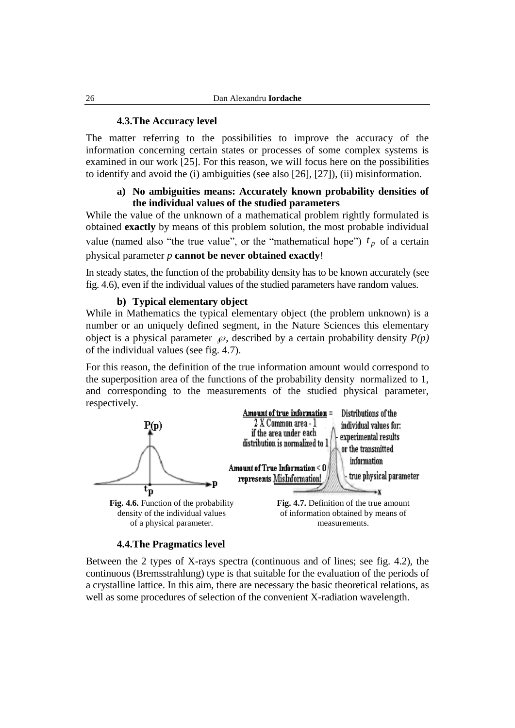#### **4.3.The Accuracy level**

The matter referring to the possibilities to improve the accuracy of the information concerning certain states or processes of some complex systems is examined in our work [25]. For this reason, we will focus here on the possibilities to identify and avoid the (i) ambiguities (see also [26], [27]), (ii) misinformation.

## **a) No ambiguities means: Accurately known probability densities of the individual values of the studied parameters**

While the value of the unknown of a mathematical problem rightly formulated is obtained **exactly** by means of this problem solution, the most probable individual value (named also "the true value", or the "mathematical hope")  $t_p$  of a certain physical parameter *p* **cannot be never obtained exactly**!

In steady states, the function of the probability density has to be known accurately (see fig. 4.6), even if the individual values of the studied parameters have random values.

#### **b) Typical elementary object**

While in Mathematics the typical elementary object (the problem unknown) is a number or an uniquely defined segment, in the Nature Sciences this elementary object is a physical parameter  $\varnothing$ , described by a certain probability density  $P(p)$ of the individual values (see fig. 4.7).

For this reason, the definition of the true information amount would correspond to the superposition area of the functions of the probability density normalized to 1, and corresponding to the measurements of the studied physical parameter, respectively.



#### **4.4.The Pragmatics level**

Between the 2 types of X-rays spectra (continuous and of lines; see fig. 4.2), the continuous (Bremsstrahlung) type is that suitable for the evaluation of the periods of a crystalline lattice. In this aim, there are necessary the basic theoretical relations, as well as some procedures of selection of the convenient X-radiation wavelength.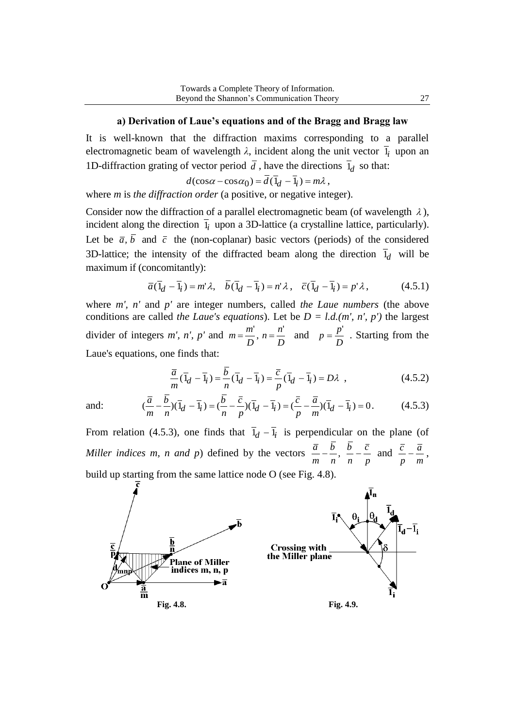#### **a) Derivation of Laue's equations and of the Bragg and Bragg law**

It is well-known that the diffraction maxims corresponding to a parallel electromagnetic beam of wavelength  $\lambda$ , incident along the unit vector  $l_i$  upon an 1D-diffraction grating of vector period  $d$ , have the directions  $1_d$  so that:

$$
d(\cos\alpha - \cos\alpha_0) = \overline{d}(\overline{1}_d - \overline{1}_l) = m\lambda,
$$

where *m* is *the diffraction order* (a positive, or negative integer).

Consider now the diffraction of a parallel electromagnetic beam (of wavelength  $\lambda$ ), incident along the direction  $l_i$  upon a 3D-lattice (a crystalline lattice, particularly). Let be  $\bar{a}$ , *b* and  $\bar{c}$  the (non-coplanar) basic vectors (periods) of the considered 3D-lattice; the intensity of the diffracted beam along the direction  $l_d$  will be maximum if (concomitantly):

$$
\overline{a}(\overline{1}_d - \overline{1}_i) = m' \lambda, \quad \overline{b}(\overline{1}_d - \overline{1}_i) = n' \lambda, \quad \overline{c}(\overline{1}_d - \overline{1}_i) = p' \lambda,
$$
 (4.5.1)

where *m', n'* and *p'* are integer numbers, called *the Laue numbers* (the above conditions are called *the Laue's equations*). Let be  $D = l.d.(m', n', p')$  the largest divider of integers *m', n', p'* and *D*  $n = \frac{n}{b}$ *D*  $m = \frac{m'}{n}$ ,  $n = \frac{n'}{n}$  and *D*  $p = \frac{p'}{p}$ . Starting from the Laue's equations, one finds that:

$$
\frac{\overline{a}}{m}(\overline{1}_d - \overline{1}_i) = \frac{\overline{b}}{n}(\overline{1}_d - \overline{1}_i) = \frac{\overline{c}}{p}(\overline{1}_d - \overline{1}_i) = D\lambda \tag{4.5.2}
$$

and:

$$
(\frac{\overline{a}}{m} - \frac{\overline{b}}{n})(\overline{1}_d - \overline{1}_i) = (\frac{\overline{b}}{n} - \frac{\overline{c}}{p})(\overline{1}_d - \overline{1}_i) = (\frac{\overline{c}}{p} - \frac{\overline{a}}{m})(\overline{1}_d - \overline{1}_i) = 0.
$$
 (4.5.3)

From relation (4.5.3), one finds that  $\overline{1}_d - \overline{1}_i$  is perpendicular on the plane (of *Miller indices m, n and p*) defined by the vectors *p c n b n b m*  $\frac{\overline{a}}{a} - \frac{b}{a}$ ,  $\frac{b}{a} - \frac{\overline{c}}{a}$  and *m a p*  $\frac{\overline{c}}{c} - \frac{\overline{a}}{a}$ , build up starting from the same lattice node O (see Fig. 4.8).

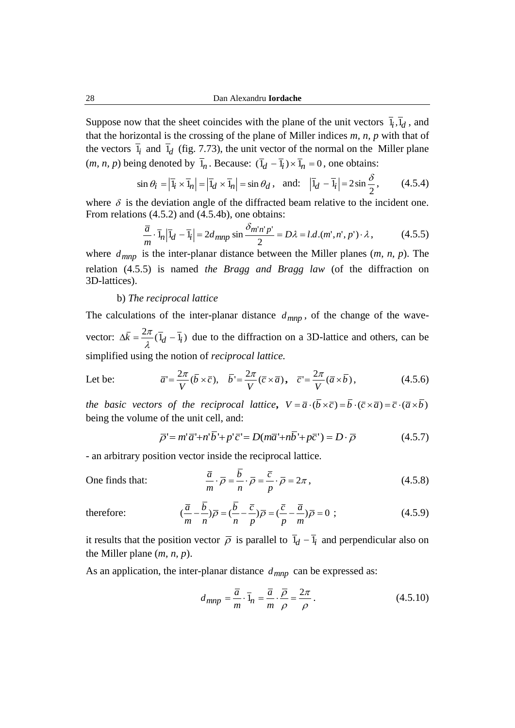Suppose now that the sheet coincides with the plane of the unit vectors  $l_i, l_d$ , and that the horizontal is the crossing of the plane of Miller indices *m, n, p* with that of the vectors  $l_i$  and  $l_d$  (fig. 7.73), the unit vector of the normal on the Miller plane  $(m, n, p)$  being denoted by  $1_n$ . Because:  $(1_d - 1_i) \times 1_n = 0$ , one obtains:

$$
\sin \theta_i = \left| \overline{1}_i \times \overline{1}_n \right| = \left| \overline{1}_d \times \overline{1}_n \right| = \sin \theta_d, \text{ and: } \left| \overline{1}_d - \overline{1}_i \right| = 2 \sin \frac{\delta}{2}, \quad (4.5.4)
$$

where  $\delta$  is the deviation angle of the diffracted beam relative to the incident one. From relations (4.5.2) and (4.5.4b), one obtains:

$$
\frac{\overline{a}}{m} \cdot \overline{1}_n \left| \overline{1}_d - \overline{1}_i \right| = 2d_{mnp} \sin \frac{\delta_{m'n'p'}}{2} = D\lambda = l.d.(m', n', p') \cdot \lambda, \tag{4.5.5}
$$

where *dmnp* is the inter-planar distance between the Miller planes (*m, n, p*). The relation (4.5.5) is named *the Bragg and Bragg law* (of the diffraction on 3D-lattices).

#### b) *The reciprocal lattice*

The calculations of the inter-planar distance  $d_{mnp}$ , of the change of the wavevector:  $\Delta \overline{k} = \frac{2\pi}{\lambda} (\overline{1}_d - \overline{1}_i)$  $\frac{\pi}{\sqrt{d}}$   $(\bar{l}_d - \bar{l}_i)$  due to the diffraction on a 3D-lattice and others, can be simplified using the notion of *reciprocal lattice.* 

Let be: 
$$
\overline{a} = \frac{2\pi}{V} (\overline{b} \times \overline{c}), \quad \overline{b} = \frac{2\pi}{V} (\overline{c} \times \overline{a}), \quad \overline{c} = \frac{2\pi}{V} (\overline{a} \times \overline{b}), \quad (4.5.6)
$$

*the basic vectors of the reciprocal lattice,*  $V = \overline{a} \cdot (\overline{b} \times \overline{c}) = \overline{b} \cdot (\overline{c} \times \overline{a}) = \overline{c} \cdot (\overline{a} \times \overline{b})$ being the volume of the unit cell, and:

$$
\overline{\rho} = m' \overline{a} + n' \overline{b} + p' \overline{c} = D(m\overline{a} + n\overline{b} + p\overline{c}) = D \cdot \overline{\rho}
$$
(4.5.7)

- an arbitrary position vector inside the reciprocal lattice.

*a*

One finds that: 
$$
\frac{\overline{a}}{m} \cdot \overline{\rho} = \frac{b}{n} \cdot \overline{\rho} = \frac{\overline{c}}{p} \cdot \overline{\rho} = 2\pi,
$$
 (4.5.8)

$$
\frac{a}{m} \cdot \overline{\rho} = \frac{b}{n} \cdot \overline{\rho} = \frac{c}{p} \cdot \overline{\rho} = 2\pi ,\qquad(4.5.8)
$$

therefore:

$$
(\frac{\overline{a}}{m} - \frac{b}{n})\overline{\rho} = (\frac{b}{n} - \frac{\overline{c}}{p})\overline{\rho} = (\frac{\overline{c}}{p} - \frac{\overline{a}}{m})\overline{\rho} = 0 ; \qquad (4.5.9)
$$

*c*

*a*

it results that the position vector  $\bar{\rho}$  is parallel to  $\bar{l}_d - \bar{l}_i$  and perpendicular also on the Miller plane (*m, n, p*).

As an application, the inter-planar distance *dmnp* can be expressed as:

$$
d_{mnp} = \frac{\overline{a}}{m} \cdot \overline{1}_n = \frac{\overline{a}}{m} \cdot \frac{\overline{\rho}}{\rho} = \frac{2\pi}{\rho} \,. \tag{4.5.10}
$$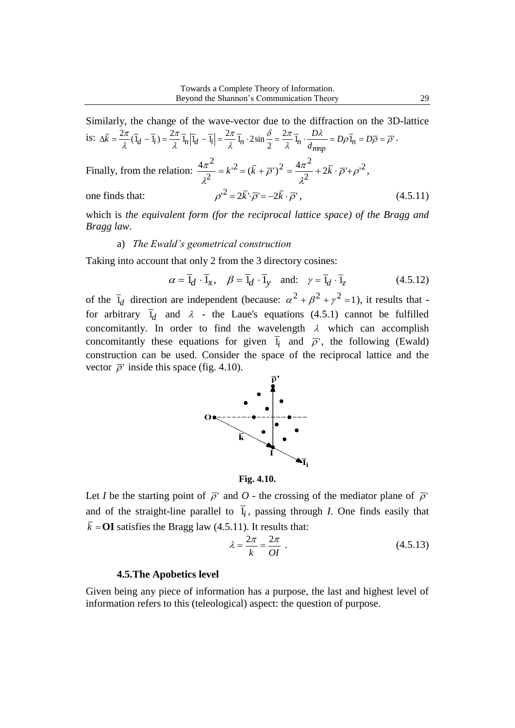Similarly, the change of the wave-vector due to the diffraction on the 3D-lattice is:  $\Delta \overline{k} = \frac{2\pi}{\lambda} (\overline{1}_d - \overline{1}_i) = \frac{2\pi}{\lambda} \overline{1}_n |\overline{1}_d - \overline{1}_i| = \frac{2\pi}{\lambda} \overline{1}_n \cdot 2 \sin \frac{\delta}{\lambda} = \frac{2\pi}{\lambda} \overline{1}_n \cdot \frac{D\lambda}{\lambda} = D\rho \overline{1}_n = D\overline{\rho} = \overline{\rho}$ 2  $\frac{2\pi}{4}(\overline{l}_d - \overline{l}_i) = \frac{2\pi}{4} \overline{l}_n |\overline{l}_d - \overline{l}_i| = \frac{2\pi}{4} \overline{l}_n \cdot 2\sin\frac{\delta}{2} = \frac{2\pi}{4} \overline{l}_n \cdot \frac{D\lambda}{L} = D\rho \overline{l}_n = D\overline{\rho} = \overline{\rho}$ λ λ  $\delta$  2 $\pi$ λ л λ π λ  $\Delta \bar{k} = \frac{2\pi}{\lambda} (\bar{l}_d - \bar{l}_i) = \frac{2\pi}{\lambda} \bar{l}_n |\bar{l}_d - \bar{l}_i| = \frac{2\pi}{\lambda} \bar{l}_n \cdot 2 \sin \frac{\theta}{\theta} = \frac{2\pi}{\lambda} \bar{l}_n \cdot \frac{D\lambda}{\lambda} = D\rho \bar{l}_n = D\bar{\rho} =$ *d*  $\bar{k} = \frac{2\pi}{\lambda}(\bar{l}_d - \bar{l}_i) = \frac{2\pi}{\lambda}\bar{l}_n \left|\bar{l}_d - \bar{l}_i\right| = \frac{2\pi}{\lambda}\bar{l}_n \cdot 2\sin\frac{\delta}{\lambda} = \frac{2\pi}{\lambda}\bar{l}_n \cdot \frac{D\lambda}{\lambda} = D\rho\bar{l}_n$ *mnp*  $\overline{d}_d - \overline{l}_i$ ) =  $\frac{2\pi}{3} \overline{l}_n \left| \overline{l}_d - \overline{l}_i \right| = \frac{2\pi}{3} \overline{l}_n \cdot 2 \sin \frac{\theta}{2} = \frac{2\pi}{3} \overline{l}_n \cdot \frac{2\pi}{3} = D\rho \overline{l}_n = D\overline{\rho} = \overline{\rho}.$ Finally, from the relation:  $\frac{4\pi^2}{r^2} = k'^2 = (\bar{k} + \bar{\rho}')^2 = \frac{4\pi^2}{r^2} + 2\bar{k} \cdot \bar{\rho}' + {\rho'}^2$ 2  $2 - (\bar{k} + \bar{\sigma})^2 - \frac{4\pi^2}{2}$ 2 2  $\frac{4\pi^2}{2} = k'^2 = (\bar{k} + \bar{\rho}')^2 = \frac{4\pi^2}{2} + 2\bar{k} \cdot \bar{\rho}' + \rho'$ λ  $(\bar{\rho}')^2 = \frac{4\pi}{4}$ λ  $\frac{\pi}{2} = k'^2 = (\bar{k} + \bar{\rho}')^2 = \frac{4\pi}{2} + 2\bar{k} \cdot \bar{\rho}' + {\rho'}^2,$ one finds that:  $\rho^2 = 2\bar{k} \cdot \bar{\rho} = -2\bar{k} \cdot \bar{\rho}$ , (4.5.11)

which is *the equivalent form (for the reciprocal lattice space) of the Bragg and Bragg law.*

#### a) *The Ewald's geometrical construction*

Taking into account that only 2 from the 3 directory cosines:

$$
\alpha = \overline{1}_d \cdot \overline{1}_x, \quad \beta = \overline{1}_d \cdot \overline{1}_y \quad \text{and:} \quad \gamma = \overline{1}_d \cdot \overline{1}_z \tag{4.5.12}
$$

of the  $\bar{l}_d$  direction are independent (because:  $\alpha^2 + \beta^2 + \gamma^2 = 1$ ), it results that for arbitrary  $\bar{l}_d$  and  $\lambda$  - the Laue's equations (4.5.1) cannot be fulfilled concomitantly. In order to find the wavelength  $\lambda$  which can accomplish concomitantly these equations for given  $l_i$  and  $\bar{\rho}$ , the following (Ewald) construction can be used. Consider the space of the reciprocal lattice and the vector  $\bar{\rho}$  inside this space (fig. 4.10).



**Fig. 4.10.**

Let *I* be the starting point of  $\overline{\rho}$  and *O* - the crossing of the mediator plane of  $\overline{\rho}$ and of the straight-line parallel to  $l_i$ , passing through *I*. One finds easily that  $\bar{k}$  = OI satisfies the Bragg law (4.5.11). It results that:

$$
\lambda = \frac{2\pi}{k} = \frac{2\pi}{OI} \tag{4.5.13}
$$

#### **4.5.The Apobetics level**

Given being any piece of information has a purpose, the last and highest level of information refers to this (teleological) aspect: the question of purpose.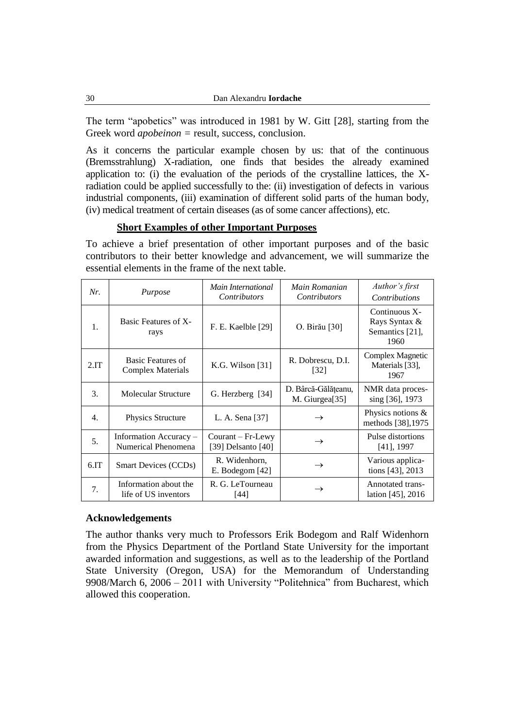The term "apobetics" was introduced in 1981 by W. Gitt [28], starting from the Greek word *apobeinon* = result, success, conclusion.

As it concerns the particular example chosen by us: that of the continuous (Bremsstrahlung) X-radiation, one finds that besides the already examined application to: (i) the evaluation of the periods of the crystalline lattices, the Xradiation could be applied successfully to the: (ii) investigation of defects in various industrial components, (iii) examination of different solid parts of the human body, (iv) medical treatment of certain diseases (as of some cancer affections), etc.

#### **Short Examples of other Important Purposes**

To achieve a brief presentation of other important purposes and of the basic contributors to their better knowledge and advancement, we will summarize the essential elements in the frame of the next table.

| Nr.            | Purpose                                       | Main International<br><i>Contributors</i> | Main Romanian<br><i>Contributors</i>              | Author's first<br><b>Contributions</b>                    |
|----------------|-----------------------------------------------|-------------------------------------------|---------------------------------------------------|-----------------------------------------------------------|
| $\mathbf{1}$ . | Basic Features of X-<br>rays                  | F. E. Kaelble [29]                        | O. Birău [30]                                     | Continuous X-<br>Rays Syntax &<br>Semantics [21],<br>1960 |
| $2.\text{IT}$  | Basic Features of<br><b>Complex Materials</b> | K.G. Wilson $[31]$                        | R. Dobrescu, D.I.<br>$\left[32\right]$            | Complex Magnetic<br>Materials [33],<br>1967               |
| 3.             | <b>Molecular Structure</b>                    | G. Herzberg [34]                          | D. Bârcă-Gălățeanu,<br>M. Giurgea <sup>[35]</sup> | NMR data proces-<br>sing [36], 1973                       |
| 4.             | Physics Structure                             | L. A. Sena [37]                           | $\rightarrow$                                     | Physics notions &<br>methods [38], 1975                   |
| 5 <sub>1</sub> | Information Accuracy -<br>Numerical Phenomena | $Counter - Fr-Lewy$<br>[39] Delsanto [40] | $\rightarrow$                                     | Pulse distortions<br>$[41]$ , 1997                        |
| 6.1T           | <b>Smart Devices (CCDs)</b>                   | R. Widenhorn,<br>E. Bodegom [42]          | $\rightarrow$                                     | Various applica-<br>tions [43], 2013                      |
| 7.             | Information about the<br>life of US inventors | R. G. LeTourneau<br>[44]                  | $\rightarrow$                                     | Annotated trans-<br>lation [45], 2016                     |

#### **Acknowledgements**

The author thanks very much to Professors Erik Bodegom and Ralf Widenhorn from the Physics Department of the Portland State University for the important awarded information and suggestions, as well as to the leadership of the Portland State University (Oregon, USA) for the Memorandum of Understanding 9908/March 6, 2006 – 2011 with University "Politehnica" from Bucharest, which allowed this cooperation.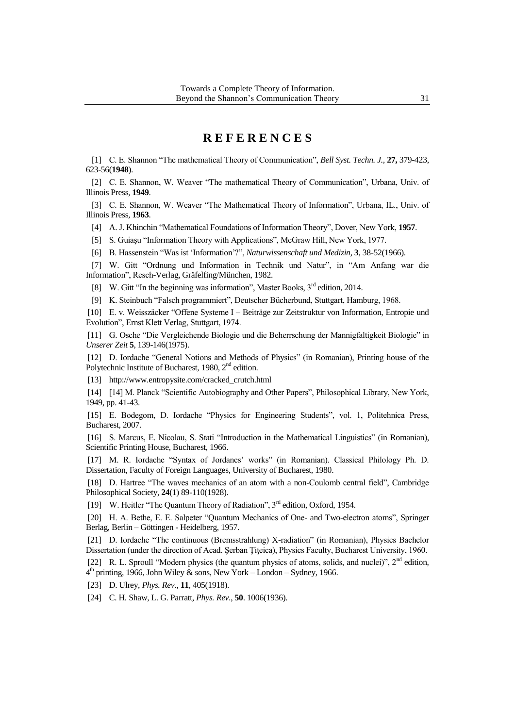## **R E F E R E N C E S**

[1] C. E. Shannon "The mathematical Theory of Communication", *Bell Syst. Techn. J.,* **27,** 379-423, 623-56(**1948**).

[2] C. E. Shannon, W. Weaver "The mathematical Theory of Communication", Urbana, Univ. of Illinois Press, **1949**.

[3] C. E. Shannon, W. Weaver "The Mathematical Theory of Information", Urbana, IL., Univ. of Illinois Press, **1963**.

[4] A. J. Khinchin "Mathematical Foundations of Information Theory", Dover, New York, **1957**.

[5] S. Guiaşu "Information Theory with Applications", McGraw Hill, New York, 1977.

[6] B. Hassenstein "Was ist "Information"?", *Naturwissenschaft und Medizin,* **3**, 38-52(1966).

[7] W. Gitt "Ordnung und Information in Technik und Natur", in "Am Anfang war die Information", Resch-Verlag, Gräfelfing/München, 1982.

[8] W. Gitt "In the beginning was information", Master Books,  $3<sup>rd</sup>$  edition, 2014.

[9] K. Steinbuch "Falsch programmiert", Deutscher Bücherbund, Stuttgart, Hamburg, 1968.

[10] E. v. Weisszäcker "Offene Systeme I – Beiträge zur Zeitstruktur von Information, Entropie und Evolution", Ernst Klett Verlag, Stuttgart, 1974.

[11] G. Osche "Die Vergleichende Biologie und die Beherrschung der Mannigfaltigkeit Biologie" in *Unserer Zeit* **5**, 139-146(1975).

[12] D. Iordache "General Notions and Methods of Physics" (in Romanian), Printing house of the Polytechnic Institute of Bucharest, 1980,  $2<sup>nd</sup>$  edition.

[13] [http://www.entropysite.com/cracked\\_crutch.html](http://www.entropysite.com/cracked_crutch.html)

[14] [14] M. Planck "Scientific Autobiography and Other Papers", Philosophical Library, New York, 1949, pp. 41-43.

[15] E. Bodegom, D. Iordache "Physics for Engineering Students", vol. 1, Politehnica Press, Bucharest, 2007.

[16] S. Marcus, E. Nicolau, S. Stati "Introduction in the Mathematical Linguistics" (in Romanian), Scientific Printing House, Bucharest, 1966.

[17] M. R. Iordache "Syntax of Jordanes" works" (in Romanian). Classical Philology Ph. D. Dissertation, Faculty of Foreign Languages, University of Bucharest, 1980.

[18] D. Hartree "The waves mechanics of an atom with a non-Coulomb central field", Cambridge Philosophical Society, **24**(1) 89-110(1928).

[19] W. Heitler "The Quantum Theory of Radiation", 3<sup>rd</sup> edition, Oxford, 1954.

[20] H. A. Bethe, E. E. Salpeter "Quantum Mechanics of One- and Two-electron atoms", Springer Berlag, Berlin – Göttingen - Heidelberg, 1957.

[21] D. Iordache "The continuous (Bremsstrahlung) X-radiation" (in Romanian), Physics Bachelor Dissertation (under the direction of Acad. Şerban Titeica), Physics Faculty, Bucharest University, 1960.

[22] R. L. Sproull "Modern physics (the quantum physics of atoms, solids, and nuclei)", 2<sup>nd</sup> edition, 4 th printing, 1966, John Wiley & sons, New York – London – Sydney, 1966.

[23] D. Ulrey, *Phys. Rev*., **11**, 405(1918).

[24] C. H. Shaw, L. G. Parratt, *Phys. Rev*., **50**. 1006(1936).